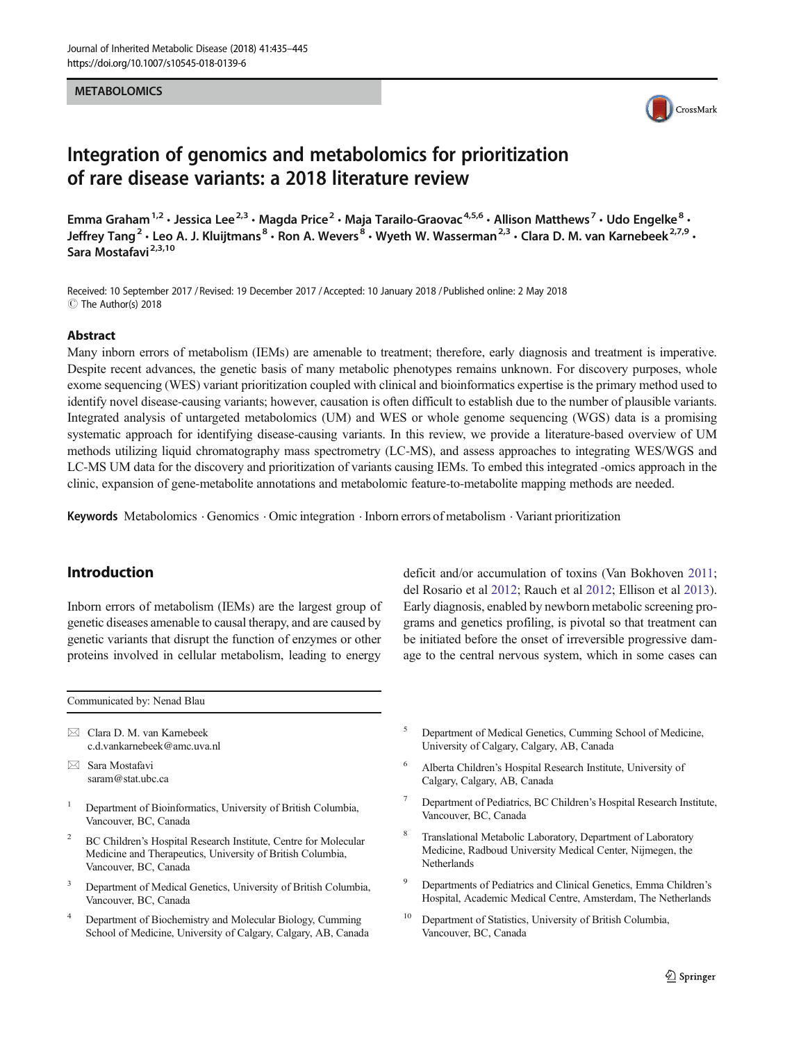## METABOLOMICS



# Integration of genomics and metabolomics for prioritization of rare disease variants: a 2018 literature review

Emma Graham  $^{1,2}$   $\cdot$  Jessica Lee $^{2,3}$   $\cdot$  Magda Price $^2$   $\cdot$  Maja Tarailo-Graovac $^{4,5,6}$   $\cdot$  Allison Matthews  $^7$   $\cdot$  Udo Engelke $^8$   $\cdot$ Jeffrey Tang<sup>2</sup> • Leo A. J. Kluijtmans<sup>8</sup> • Ron A. Wevers<sup>8</sup> • Wyeth W. Wasserman<sup>2,3</sup> • Clara D. M. van Karnebeek<sup>2,7,9</sup> • Sara Mostafavi<sup>2,3,10</sup>

Received: 10 September 2017 / Revised: 19 December 2017 / Accepted: 10 January 2018 /Published online: 2 May 2018  $\circledcirc$  The Author(s) 2018

## Abstract

Many inborn errors of metabolism (IEMs) are amenable to treatment; therefore, early diagnosis and treatment is imperative. Despite recent advances, the genetic basis of many metabolic phenotypes remains unknown. For discovery purposes, whole exome sequencing (WES) variant prioritization coupled with clinical and bioinformatics expertise is the primary method used to identify novel disease-causing variants; however, causation is often difficult to establish due to the number of plausible variants. Integrated analysis of untargeted metabolomics (UM) and WES or whole genome sequencing (WGS) data is a promising systematic approach for identifying disease-causing variants. In this review, we provide a literature-based overview of UM methods utilizing liquid chromatography mass spectrometry (LC-MS), and assess approaches to integrating WES/WGS and LC-MS UM data for the discovery and prioritization of variants causing IEMs. To embed this integrated -omics approach in the clinic, expansion of gene-metabolite annotations and metabolomic feature-to-metabolite mapping methods are needed.

Keywords Metabolomics . Genomics . Omic integration . Inborn errors of metabolism . Variant prioritization

# Introduction

Inborn errors of metabolism (IEMs) are the largest group of genetic diseases amenable to causal therapy, and are caused by genetic variants that disrupt the function of enzymes or other proteins involved in cellular metabolism, leading to energy

| Communicated by: Nenad Blau |  |
|-----------------------------|--|
|-----------------------------|--|

 $\boxtimes$  Clara D. M. van Karnebeek [c.d.vankarnebeek@amc.uva.nl](mailto:saram@stat.ubc.ca)

- $\boxtimes$  Sara Mostafavi [saram@stat.ubc.ca](mailto:saram@stat.ubc.ca)
- <sup>1</sup> Department of Bioinformatics, University of British Columbia, Vancouver, BC, Canada
- <sup>2</sup> BC Children's Hospital Research Institute, Centre for Molecular Medicine and Therapeutics, University of British Columbia, Vancouver, BC, Canada
- <sup>3</sup> Department of Medical Genetics, University of British Columbia, Vancouver, BC, Canada
- <sup>4</sup> Department of Biochemistry and Molecular Biology, Cumming School of Medicine, University of Calgary, Calgary, AB, Canada

deficit and/or accumulation of toxins (Van Bokhoven [2011;](#page-10-0) del Rosario et al [2012](#page-8-0); Rauch et al [2012](#page-9-0); Ellison et al [2013\)](#page-8-0). Early diagnosis, enabled by newborn metabolic screening programs and genetics profiling, is pivotal so that treatment can be initiated before the onset of irreversible progressive damage to the central nervous system, which in some cases can

- <sup>5</sup> Department of Medical Genetics, Cumming School of Medicine, University of Calgary, Calgary, AB, Canada
- <sup>6</sup> Alberta Children's Hospital Research Institute, University of Calgary, Calgary, AB, Canada
- <sup>7</sup> Department of Pediatrics, BC Children's Hospital Research Institute, Vancouver, BC, Canada
- 8 Translational Metabolic Laboratory, Department of Laboratory Medicine, Radboud University Medical Center, Nijmegen, the Netherlands
- Departments of Pediatrics and Clinical Genetics, Emma Children's Hospital, Academic Medical Centre, Amsterdam, The Netherlands
- <sup>10</sup> Department of Statistics, University of British Columbia, Vancouver, BC, Canada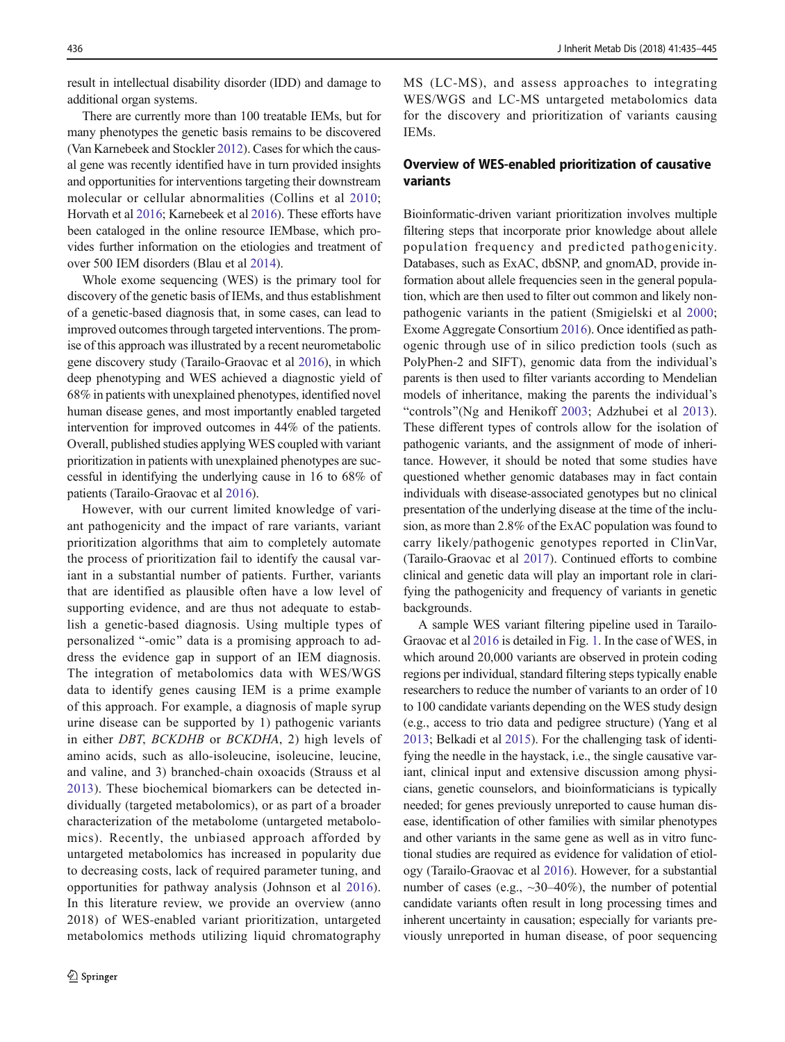result in intellectual disability disorder (IDD) and damage to additional organ systems.

There are currently more than 100 treatable IEMs, but for many phenotypes the genetic basis remains to be discovered (Van Karnebeek and Stockler [2012\)](#page-10-0). Cases for which the causal gene was recently identified have in turn provided insights and opportunities for interventions targeting their downstream molecular or cellular abnormalities (Collins et al [2010](#page-8-0); Horvath et al [2016](#page-9-0); Karnebeek et al [2016](#page-10-0)). These efforts have been cataloged in the online resource IEMbase, which provides further information on the etiologies and treatment of over 500 IEM disorders (Blau et al [2014\)](#page-8-0).

Whole exome sequencing (WES) is the primary tool for discovery of the genetic basis of IEMs, and thus establishment of a genetic-based diagnosis that, in some cases, can lead to improved outcomes through targeted interventions. The promise of this approach was illustrated by a recent neurometabolic gene discovery study (Tarailo-Graovac et al [2016](#page-9-0)), in which deep phenotyping and WES achieved a diagnostic yield of 68% in patients with unexplained phenotypes, identified novel human disease genes, and most importantly enabled targeted intervention for improved outcomes in 44% of the patients. Overall, published studies applying WES coupled with variant prioritization in patients with unexplained phenotypes are successful in identifying the underlying cause in 16 to 68% of patients (Tarailo-Graovac et al [2016](#page-9-0)).

However, with our current limited knowledge of variant pathogenicity and the impact of rare variants, variant prioritization algorithms that aim to completely automate the process of prioritization fail to identify the causal variant in a substantial number of patients. Further, variants that are identified as plausible often have a low level of supporting evidence, and are thus not adequate to establish a genetic-based diagnosis. Using multiple types of personalized "-omic" data is a promising approach to address the evidence gap in support of an IEM diagnosis. The integration of metabolomics data with WES/WGS data to identify genes causing IEM is a prime example of this approach. For example, a diagnosis of maple syrup urine disease can be supported by 1) pathogenic variants in either DBT, BCKDHB or BCKDHA, 2) high levels of amino acids, such as allo-isoleucine, isoleucine, leucine, and valine, and 3) branched-chain oxoacids (Strauss et al [2013](#page-9-0)). These biochemical biomarkers can be detected individually (targeted metabolomics), or as part of a broader characterization of the metabolome (untargeted metabolomics). Recently, the unbiased approach afforded by untargeted metabolomics has increased in popularity due to decreasing costs, lack of required parameter tuning, and opportunities for pathway analysis (Johnson et al [2016](#page-9-0)). In this literature review, we provide an overview (anno 2018) of WES-enabled variant prioritization, untargeted metabolomics methods utilizing liquid chromatography

MS (LC-MS), and assess approaches to integrating WES/WGS and LC-MS untargeted metabolomics data for the discovery and prioritization of variants causing IEMs.

## Overview of WES-enabled prioritization of causative variants

Bioinformatic-driven variant prioritization involves multiple filtering steps that incorporate prior knowledge about allele population frequency and predicted pathogenicity. Databases, such as ExAC, dbSNP, and gnomAD, provide information about allele frequencies seen in the general population, which are then used to filter out common and likely nonpathogenic variants in the patient (Smigielski et al [2000;](#page-9-0) Exome Aggregate Consortium [2016](#page-8-0)). Once identified as pathogenic through use of in silico prediction tools (such as PolyPhen-2 and SIFT), genomic data from the individual's parents is then used to filter variants according to Mendelian models of inheritance, making the parents the individual's "controls"(Ng and Henikoff [2003](#page-9-0); Adzhubei et al [2013](#page-8-0)). These different types of controls allow for the isolation of pathogenic variants, and the assignment of mode of inheritance. However, it should be noted that some studies have questioned whether genomic databases may in fact contain individuals with disease-associated genotypes but no clinical presentation of the underlying disease at the time of the inclusion, as more than 2.8% of the ExAC population was found to carry likely/pathogenic genotypes reported in ClinVar, (Tarailo-Graovac et al [2017](#page-9-0)). Continued efforts to combine clinical and genetic data will play an important role in clarifying the pathogenicity and frequency of variants in genetic backgrounds.

A sample WES variant filtering pipeline used in Tarailo-Graovac et al [2016](#page-9-0) is detailed in Fig. [1.](#page-2-0) In the case of WES, in which around 20,000 variants are observed in protein coding regions per individual, standard filtering steps typically enable researchers to reduce the number of variants to an order of 10 to 100 candidate variants depending on the WES study design (e.g., access to trio data and pedigree structure) (Yang et al [2013;](#page-10-0) Belkadi et al [2015\)](#page-8-0). For the challenging task of identifying the needle in the haystack, i.e., the single causative variant, clinical input and extensive discussion among physicians, genetic counselors, and bioinformaticians is typically needed; for genes previously unreported to cause human disease, identification of other families with similar phenotypes and other variants in the same gene as well as in vitro functional studies are required as evidence for validation of etiology (Tarailo-Graovac et al [2016](#page-9-0)). However, for a substantial number of cases (e.g.,  $\sim$ 30–40%), the number of potential candidate variants often result in long processing times and inherent uncertainty in causation; especially for variants previously unreported in human disease, of poor sequencing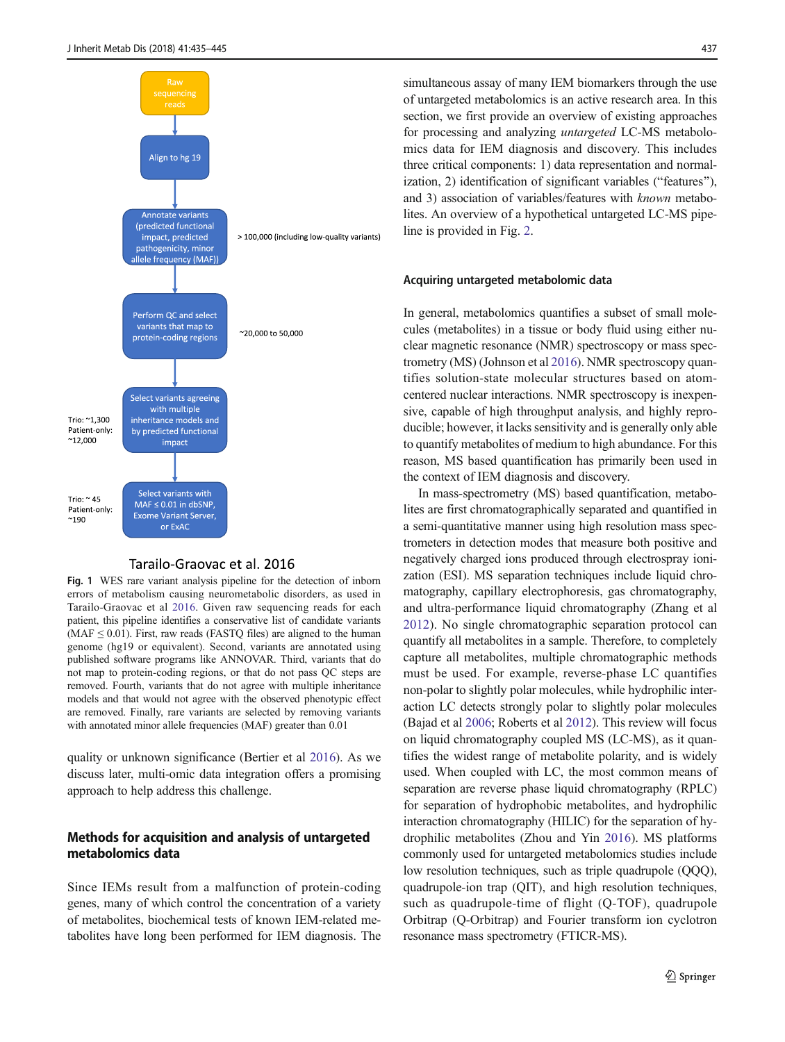<span id="page-2-0"></span>

#### Tarailo-Graovac et al. 2016

Fig. 1 WES rare variant analysis pipeline for the detection of inborn errors of metabolism causing neurometabolic disorders, as used in Tarailo-Graovac et al [2016](#page-9-0). Given raw sequencing reads for each patient, this pipeline identifies a conservative list of candidate variants (MAF  $\leq$  0.01). First, raw reads (FASTQ files) are aligned to the human genome (hg19 or equivalent). Second, variants are annotated using published software programs like ANNOVAR. Third, variants that do not map to protein-coding regions, or that do not pass QC steps are removed. Fourth, variants that do not agree with multiple inheritance models and that would not agree with the observed phenotypic effect are removed. Finally, rare variants are selected by removing variants with annotated minor allele frequencies (MAF) greater than 0.01

quality or unknown significance (Bertier et al [2016\)](#page-8-0). As we discuss later, multi-omic data integration offers a promising approach to help address this challenge.

## Methods for acquisition and analysis of untargeted metabolomics data

Since IEMs result from a malfunction of protein-coding genes, many of which control the concentration of a variety of metabolites, biochemical tests of known IEM-related metabolites have long been performed for IEM diagnosis. The simultaneous assay of many IEM biomarkers through the use of untargeted metabolomics is an active research area. In this section, we first provide an overview of existing approaches for processing and analyzing untargeted LC-MS metabolomics data for IEM diagnosis and discovery. This includes three critical components: 1) data representation and normalization, 2) identification of significant variables ("features"), and 3) association of variables/features with known metabolites. An overview of a hypothetical untargeted LC-MS pipeline is provided in Fig. [2](#page-3-0).

#### Acquiring untargeted metabolomic data

In general, metabolomics quantifies a subset of small molecules (metabolites) in a tissue or body fluid using either nuclear magnetic resonance (NMR) spectroscopy or mass spectrometry (MS) (Johnson et al [2016\)](#page-9-0). NMR spectroscopy quantifies solution-state molecular structures based on atomcentered nuclear interactions. NMR spectroscopy is inexpensive, capable of high throughput analysis, and highly reproducible; however, it lacks sensitivity and is generally only able to quantify metabolites of medium to high abundance. For this reason, MS based quantification has primarily been used in the context of IEM diagnosis and discovery.

In mass-spectrometry (MS) based quantification, metabolites are first chromatographically separated and quantified in a semi-quantitative manner using high resolution mass spectrometers in detection modes that measure both positive and negatively charged ions produced through electrospray ionization (ESI). MS separation techniques include liquid chromatography, capillary electrophoresis, gas chromatography, and ultra-performance liquid chromatography (Zhang et al [2012](#page-10-0)). No single chromatographic separation protocol can quantify all metabolites in a sample. Therefore, to completely capture all metabolites, multiple chromatographic methods must be used. For example, reverse-phase LC quantifies non-polar to slightly polar molecules, while hydrophilic interaction LC detects strongly polar to slightly polar molecules (Bajad et al [2006;](#page-8-0) Roberts et al [2012](#page-9-0)). This review will focus on liquid chromatography coupled MS (LC-MS), as it quantifies the widest range of metabolite polarity, and is widely used. When coupled with LC, the most common means of separation are reverse phase liquid chromatography (RPLC) for separation of hydrophobic metabolites, and hydrophilic interaction chromatography (HILIC) for the separation of hydrophilic metabolites (Zhou and Yin [2016\)](#page-10-0). MS platforms commonly used for untargeted metabolomics studies include low resolution techniques, such as triple quadrupole (QQQ), quadrupole-ion trap (QIT), and high resolution techniques, such as quadrupole-time of flight (Q-TOF), quadrupole Orbitrap (Q-Orbitrap) and Fourier transform ion cyclotron resonance mass spectrometry (FTICR-MS).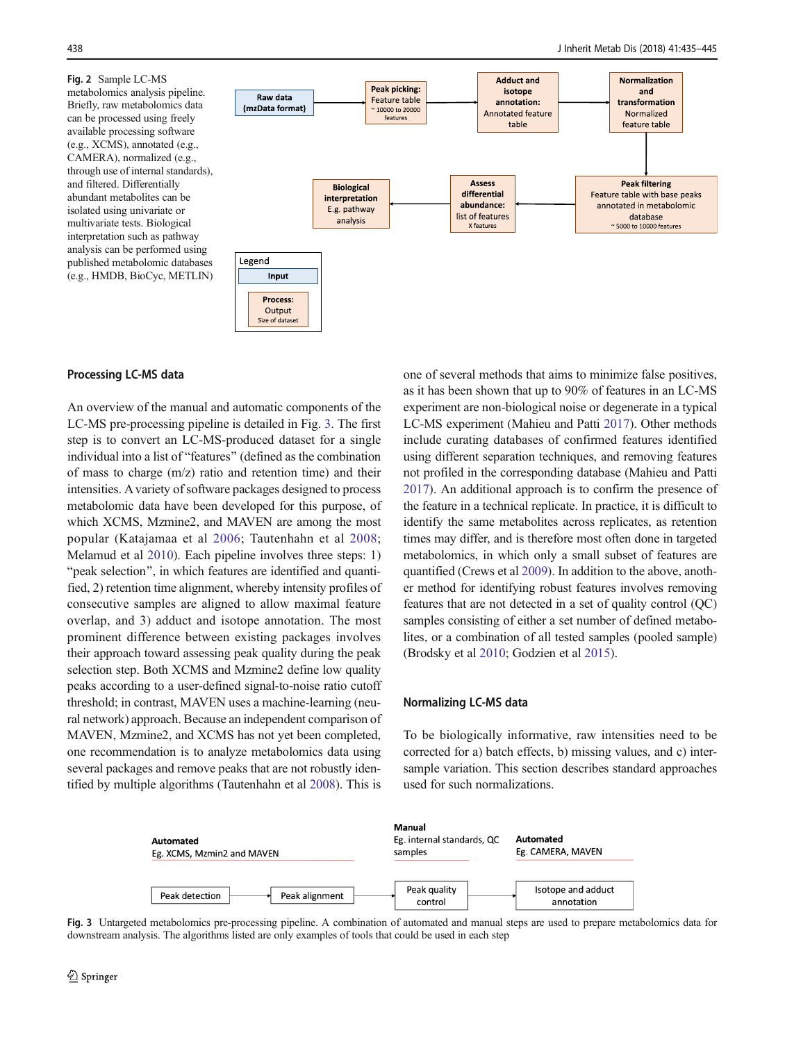<span id="page-3-0"></span>Fig. 2 Sample LC-MS metabolomics analysis pipeline. Briefly, raw metabolomics data can be processed using freely available processing software (e.g., XCMS), annotated (e.g., CAMERA), normalized (e.g., through use of internal standards), and filtered. Differentially abundant metabolites can be isolated using univariate or multivariate tests. Biological interpretation such as pathway analysis can be performed using published metabolomic databases (e.g., HMDB, BioCyc, METLIN)



## Processing LC-MS data

An overview of the manual and automatic components of the LC-MS pre-processing pipeline is detailed in Fig. 3. The first step is to convert an LC-MS-produced dataset for a single individual into a list of "features" (defined as the combination of mass to charge (m/z) ratio and retention time) and their intensities. A variety of software packages designed to process metabolomic data have been developed for this purpose, of which XCMS, Mzmine2, and MAVEN are among the most popular (Katajamaa et al [2006;](#page-9-0) Tautenhahn et al [2008](#page-9-0); Melamud et al [2010](#page-9-0)). Each pipeline involves three steps: 1) "peak selection", in which features are identified and quantified, 2) retention time alignment, whereby intensity profiles of consecutive samples are aligned to allow maximal feature overlap, and 3) adduct and isotope annotation. The most prominent difference between existing packages involves their approach toward assessing peak quality during the peak selection step. Both XCMS and Mzmine2 define low quality peaks according to a user-defined signal-to-noise ratio cutoff threshold; in contrast, MAVEN uses a machine-learning (neural network) approach. Because an independent comparison of MAVEN, Mzmine2, and XCMS has not yet been completed, one recommendation is to analyze metabolomics data using several packages and remove peaks that are not robustly identified by multiple algorithms (Tautenhahn et al [2008\)](#page-9-0). This is

one of several methods that aims to minimize false positives, as it has been shown that up to 90% of features in an LC-MS experiment are non-biological noise or degenerate in a typical LC-MS experiment (Mahieu and Patti [2017\)](#page-9-0). Other methods include curating databases of confirmed features identified using different separation techniques, and removing features not profiled in the corresponding database (Mahieu and Patti [2017\)](#page-9-0). An additional approach is to confirm the presence of the feature in a technical replicate. In practice, it is difficult to identify the same metabolites across replicates, as retention times may differ, and is therefore most often done in targeted metabolomics, in which only a small subset of features are quantified (Crews et al [2009\)](#page-8-0). In addition to the above, another method for identifying robust features involves removing features that are not detected in a set of quality control (QC) samples consisting of either a set number of defined metabolites, or a combination of all tested samples (pooled sample) (Brodsky et al [2010;](#page-8-0) Godzien et al [2015](#page-8-0)).

#### Normalizing LC-MS data

To be biologically informative, raw intensities need to be corrected for a) batch effects, b) missing values, and c) intersample variation. This section describes standard approaches used for such normalizations.



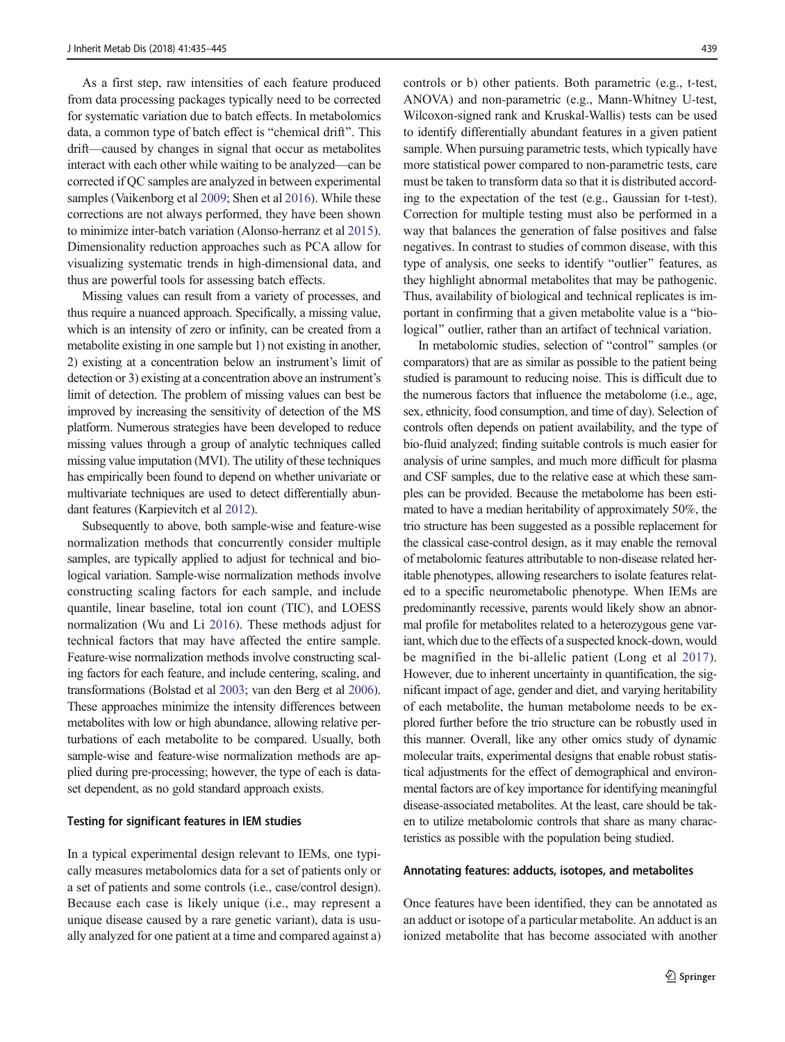As a first step, raw intensities of each feature produced from data processing packages typically need to be corrected for systematic variation due to batch effects. In metabolomics data, a common type of batch effect is "chemical drift". This drift—caused by changes in signal that occur as metabolites interact with each other while waiting to be analyzed—can be corrected if QC samples are analyzed in between experimental samples (Vaikenborg et al [2009;](#page-10-0) Shen et al [2016\)](#page-9-0). While these corrections are not always performed, they have been shown to minimize inter-batch variation (Alonso-herranz et al [2015\)](#page-8-0). Dimensionality reduction approaches such as PCA allow for visualizing systematic trends in high-dimensional data, and thus are powerful tools for assessing batch effects.

Missing values can result from a variety of processes, and thus require a nuanced approach. Specifically, a missing value, which is an intensity of zero or infinity, can be created from a metabolite existing in one sample but 1) not existing in another, 2) existing at a concentration below an instrument's limit of detection or 3) existing at a concentration above an instrument's limit of detection. The problem of missing values can best be improved by increasing the sensitivity of detection of the MS platform. Numerous strategies have been developed to reduce missing values through a group of analytic techniques called missing value imputation (MVI). The utility of these techniques has empirically been found to depend on whether univariate or multivariate techniques are used to detect differentially abundant features (Karpievitch et al [2012](#page-9-0)).

Subsequently to above, both sample-wise and feature-wise normalization methods that concurrently consider multiple samples, are typically applied to adjust for technical and biological variation. Sample-wise normalization methods involve constructing scaling factors for each sample, and include quantile, linear baseline, total ion count (TIC), and LOESS normalization (Wu and Li [2016](#page-10-0)). These methods adjust for technical factors that may have affected the entire sample. Feature-wise normalization methods involve constructing scaling factors for each feature, and include centering, scaling, and transformations (Bolstad et al [2003;](#page-8-0) van den Berg et al [2006\)](#page-10-0). These approaches minimize the intensity differences between metabolites with low or high abundance, allowing relative perturbations of each metabolite to be compared. Usually, both sample-wise and feature-wise normalization methods are applied during pre-processing; however, the type of each is dataset dependent, as no gold standard approach exists.

#### Testing for significant features in IEM studies

In a typical experimental design relevant to IEMs, one typically measures metabolomics data for a set of patients only or a set of patients and some controls (i.e., case/control design). Because each case is likely unique (i.e., may represent a unique disease caused by a rare genetic variant), data is usually analyzed for one patient at a time and compared against a) controls or b) other patients. Both parametric (e.g., t-test, ANOVA) and non-parametric (e.g., Mann-Whitney U-test, Wilcoxon-signed rank and Kruskal-Wallis) tests can be used to identify differentially abundant features in a given patient sample. When pursuing parametric tests, which typically have more statistical power compared to non-parametric tests, care must be taken to transform data so that it is distributed according to the expectation of the test (e.g., Gaussian for t-test). Correction for multiple testing must also be performed in a way that balances the generation of false positives and false negatives. In contrast to studies of common disease, with this type of analysis, one seeks to identify "outlier" features, as they highlight abnormal metabolites that may be pathogenic. Thus, availability of biological and technical replicates is important in confirming that a given metabolite value is a "biological" outlier, rather than an artifact of technical variation.

In metabolomic studies, selection of "control" samples (or comparators) that are as similar as possible to the patient being studied is paramount to reducing noise. This is difficult due to the numerous factors that influence the metabolome (i.e., age, sex, ethnicity, food consumption, and time of day). Selection of controls often depends on patient availability, and the type of bio-fluid analyzed; finding suitable controls is much easier for analysis of urine samples, and much more difficult for plasma and CSF samples, due to the relative ease at which these samples can be provided. Because the metabolome has been estimated to have a median heritability of approximately 50%, the trio structure has been suggested as a possible replacement for the classical case-control design, as it may enable the removal of metabolomic features attributable to non-disease related heritable phenotypes, allowing researchers to isolate features related to a specific neurometabolic phenotype. When IEMs are predominantly recessive, parents would likely show an abnormal profile for metabolites related to a heterozygous gene variant, which due to the effects of a suspected knock-down, would be magnified in the bi-allelic patient (Long et al [2017](#page-9-0)). However, due to inherent uncertainty in quantification, the significant impact of age, gender and diet, and varying heritability of each metabolite, the human metabolome needs to be explored further before the trio structure can be robustly used in this manner. Overall, like any other omics study of dynamic molecular traits, experimental designs that enable robust statistical adjustments for the effect of demographical and environmental factors are of key importance for identifying meaningful disease-associated metabolites. At the least, care should be taken to utilize metabolomic controls that share as many characteristics as possible with the population being studied.

#### Annotating features: adducts, isotopes, and metabolites

Once features have been identified, they can be annotated as an adduct or isotope of a particular metabolite. An adduct is an ionized metabolite that has become associated with another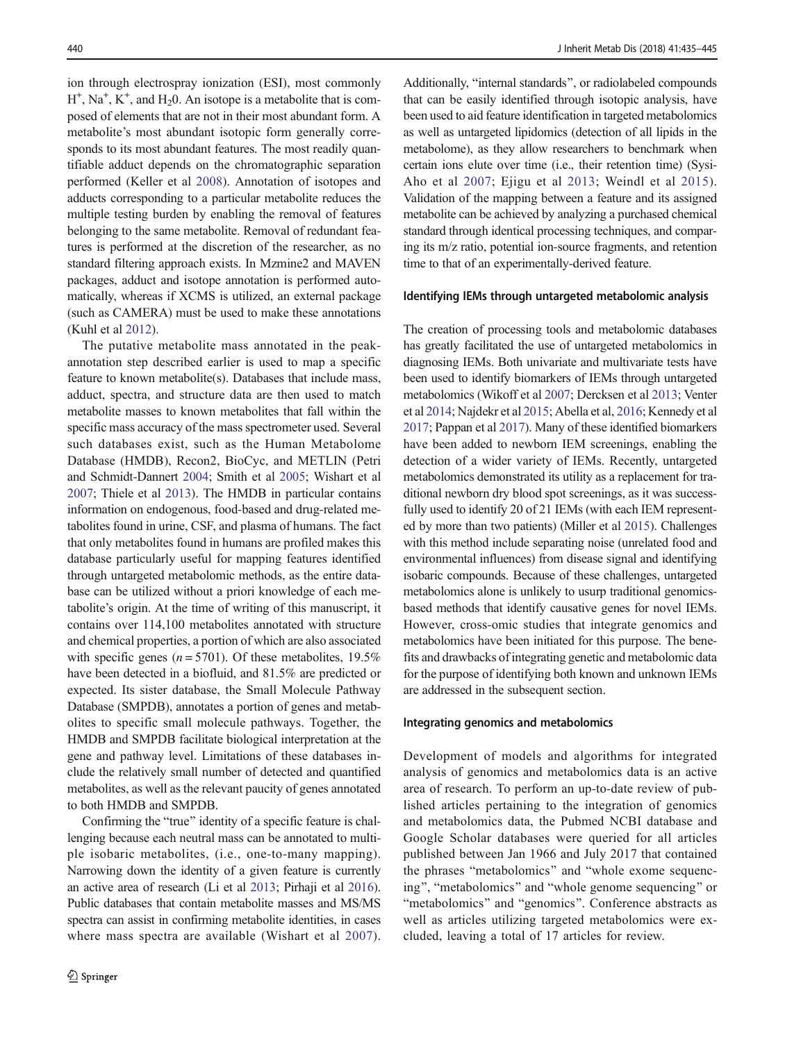ion through electrospray ionization (ESI), most commonly  $H^+$ , Na<sup>+</sup>, K<sup>+</sup>, and H<sub>2</sub>0. An isotope is a metabolite that is composed of elements that are not in their most abundant form. A metabolite's most abundant isotopic form generally corresponds to its most abundant features. The most readily quantifiable adduct depends on the chromatographic separation performed (Keller et al [2008\)](#page-9-0). Annotation of isotopes and adducts corresponding to a particular metabolite reduces the multiple testing burden by enabling the removal of features belonging to the same metabolite. Removal of redundant features is performed at the discretion of the researcher, as no standard filtering approach exists. In Mzmine2 and MAVEN packages, adduct and isotope annotation is performed automatically, whereas if XCMS is utilized, an external package (such as CAMERA) must be used to make these annotations (Kuhl et al [2012\)](#page-9-0).

The putative metabolite mass annotated in the peakannotation step described earlier is used to map a specific feature to known metabolite(s). Databases that include mass, adduct, spectra, and structure data are then used to match metabolite masses to known metabolites that fall within the specific mass accuracy of the mass spectrometer used. Several such databases exist, such as the Human Metabolome Database (HMDB), Recon2, BioCyc, and METLIN (Petri and Schmidt-Dannert [2004](#page-9-0); Smith et al [2005;](#page-9-0) Wishart et al [2007;](#page-10-0) Thiele et al [2013](#page-9-0)). The HMDB in particular contains information on endogenous, food-based and drug-related metabolites found in urine, CSF, and plasma of humans. The fact that only metabolites found in humans are profiled makes this database particularly useful for mapping features identified through untargeted metabolomic methods, as the entire database can be utilized without a priori knowledge of each metabolite's origin. At the time of writing of this manuscript, it contains over 114,100 metabolites annotated with structure and chemical properties, a portion of which are also associated with specific genes ( $n = 5701$ ). Of these metabolites, 19.5% have been detected in a biofluid, and 81.5% are predicted or expected. Its sister database, the Small Molecule Pathway Database (SMPDB), annotates a portion of genes and metabolites to specific small molecule pathways. Together, the HMDB and SMPDB facilitate biological interpretation at the gene and pathway level. Limitations of these databases include the relatively small number of detected and quantified metabolites, as well as the relevant paucity of genes annotated to both HMDB and SMPDB.

Confirming the "true" identity of a specific feature is challenging because each neutral mass can be annotated to multiple isobaric metabolites, (i.e., one-to-many mapping). Narrowing down the identity of a given feature is currently an active area of research (Li et al [2013](#page-9-0); Pirhaji et al [2016\)](#page-9-0). Public databases that contain metabolite masses and MS/MS spectra can assist in confirming metabolite identities, in cases where mass spectra are available (Wishart et al [2007](#page-10-0)).

Additionally, "internal standards", or radiolabeled compounds that can be easily identified through isotopic analysis, have been used to aid feature identification in targeted metabolomics as well as untargeted lipidomics (detection of all lipids in the metabolome), as they allow researchers to benchmark when certain ions elute over time (i.e., their retention time) (Sysi-Aho et al [2007](#page-9-0); Ejigu et al [2013](#page-8-0); Weindl et al [2015](#page-10-0)). Validation of the mapping between a feature and its assigned metabolite can be achieved by analyzing a purchased chemical standard through identical processing techniques, and comparing its m/z ratio, potential ion-source fragments, and retention time to that of an experimentally-derived feature.

#### Identifying IEMs through untargeted metabolomic analysis

The creation of processing tools and metabolomic databases has greatly facilitated the use of untargeted metabolomics in diagnosing IEMs. Both univariate and multivariate tests have been used to identify biomarkers of IEMs through untargeted metabolomics (Wikoff et al [2007;](#page-10-0) Dercksen et al [2013](#page-8-0); Venter et al [2014;](#page-10-0) Najdekr et al [2015;](#page-9-0) Abella et al, [2016;](#page-8-0) Kennedy et al [2017;](#page-9-0) Pappan et al [2017](#page-9-0)). Many of these identified biomarkers have been added to newborn IEM screenings, enabling the detection of a wider variety of IEMs. Recently, untargeted metabolomics demonstrated its utility as a replacement for traditional newborn dry blood spot screenings, as it was successfully used to identify 20 of 21 IEMs (with each IEM represented by more than two patients) (Miller et al [2015](#page-9-0)). Challenges with this method include separating noise (unrelated food and environmental influences) from disease signal and identifying isobaric compounds. Because of these challenges, untargeted metabolomics alone is unlikely to usurp traditional genomicsbased methods that identify causative genes for novel IEMs. However, cross-omic studies that integrate genomics and metabolomics have been initiated for this purpose. The benefits and drawbacks of integrating genetic and metabolomic data for the purpose of identifying both known and unknown IEMs are addressed in the subsequent section.

#### Integrating genomics and metabolomics

Development of models and algorithms for integrated analysis of genomics and metabolomics data is an active area of research. To perform an up-to-date review of published articles pertaining to the integration of genomics and metabolomics data, the Pubmed NCBI database and Google Scholar databases were queried for all articles published between Jan 1966 and July 2017 that contained the phrases "metabolomics" and "whole exome sequencing", "metabolomics" and "whole genome sequencing" or "metabolomics" and "genomics". Conference abstracts as well as articles utilizing targeted metabolomics were excluded, leaving a total of 17 articles for review.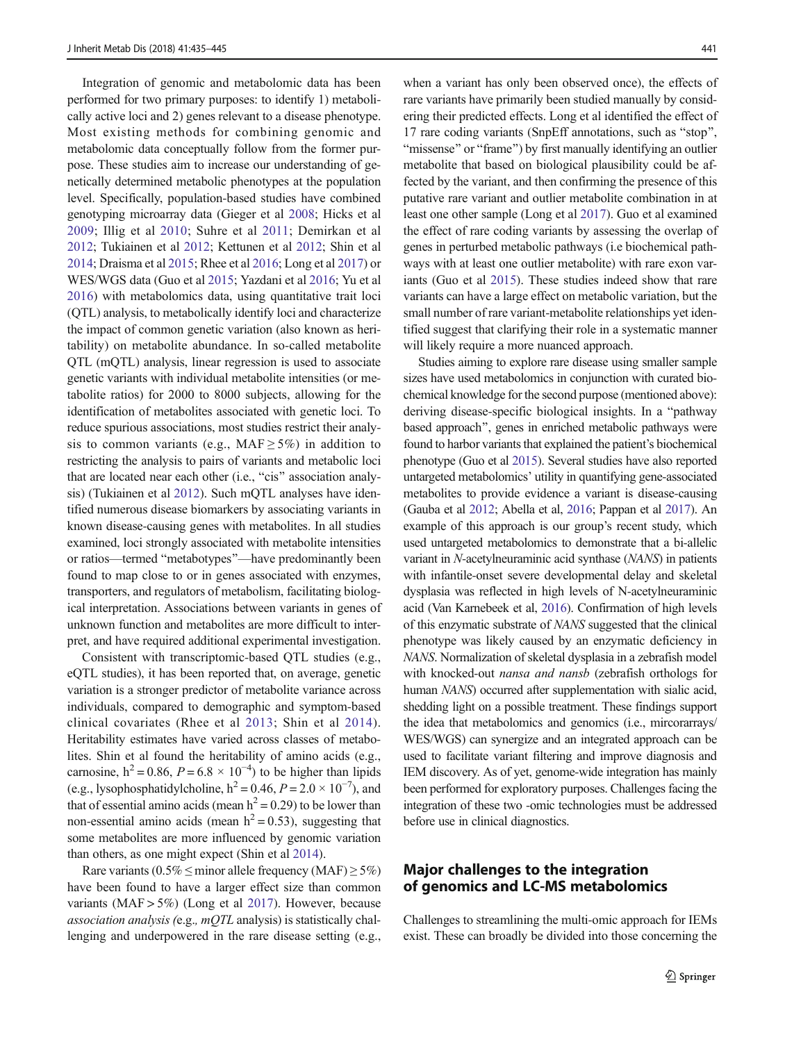Integration of genomic and metabolomic data has been performed for two primary purposes: to identify 1) metabolically active loci and 2) genes relevant to a disease phenotype. Most existing methods for combining genomic and metabolomic data conceptually follow from the former purpose. These studies aim to increase our understanding of genetically determined metabolic phenotypes at the population level. Specifically, population-based studies have combined genotyping microarray data (Gieger et al [2008;](#page-8-0) Hicks et al [2009;](#page-8-0) Illig et al [2010](#page-9-0); Suhre et al [2011](#page-9-0); Demirkan et al [2012;](#page-8-0) Tukiainen et al [2012](#page-9-0); Kettunen et al [2012;](#page-9-0) Shin et al [2014;](#page-9-0) Draisma et al [2015](#page-8-0); Rhee et al [2016](#page-9-0); Long et al [2017\)](#page-9-0) or WES/WGS data (Guo et al [2015](#page-8-0); Yazdani et al [2016](#page-10-0); Yu et al [2016\)](#page-10-0) with metabolomics data, using quantitative trait loci (QTL) analysis, to metabolically identify loci and characterize the impact of common genetic variation (also known as heritability) on metabolite abundance. In so-called metabolite QTL (mQTL) analysis, linear regression is used to associate genetic variants with individual metabolite intensities (or metabolite ratios) for 2000 to 8000 subjects, allowing for the identification of metabolites associated with genetic loci. To reduce spurious associations, most studies restrict their analysis to common variants (e.g., MAF  $\geq$  5%) in addition to restricting the analysis to pairs of variants and metabolic loci that are located near each other (i.e., "cis" association analysis) (Tukiainen et al [2012\)](#page-9-0). Such mQTL analyses have identified numerous disease biomarkers by associating variants in known disease-causing genes with metabolites. In all studies examined, loci strongly associated with metabolite intensities or ratios—termed "metabotypes"—have predominantly been found to map close to or in genes associated with enzymes, transporters, and regulators of metabolism, facilitating biological interpretation. Associations between variants in genes of unknown function and metabolites are more difficult to interpret, and have required additional experimental investigation.

Consistent with transcriptomic-based QTL studies (e.g., eQTL studies), it has been reported that, on average, genetic variation is a stronger predictor of metabolite variance across individuals, compared to demographic and symptom-based clinical covariates (Rhee et al [2013;](#page-9-0) Shin et al [2014](#page-9-0)). Heritability estimates have varied across classes of metabolites. Shin et al found the heritability of amino acids (e.g., carnosine, h<sup>2</sup> = 0.86,  $P = 6.8 \times 10^{-4}$ ) to be higher than lipids (e.g., lysophosphatidylcholine,  $h^2 = 0.46$ ,  $P = 2.0 \times 10^{-7}$ ), and that of essential amino acids (mean  $h^2 = 0.29$ ) to be lower than non-essential amino acids (mean  $h^2 = 0.53$ ), suggesting that some metabolites are more influenced by genomic variation than others, as one might expect (Shin et al [2014\)](#page-9-0).

Rare variants (0.5%  $\leq$  minor allele frequency (MAF)  $\geq$  5%) have been found to have a larger effect size than common variants (MAF > 5%) (Long et al [2017](#page-9-0)). However, because association analysis (e.g., mQTL analysis) is statistically challenging and underpowered in the rare disease setting (e.g., when a variant has only been observed once), the effects of rare variants have primarily been studied manually by considering their predicted effects. Long et al identified the effect of 17 rare coding variants (SnpEff annotations, such as "stop", "missense" or "frame") by first manually identifying an outlier metabolite that based on biological plausibility could be affected by the variant, and then confirming the presence of this putative rare variant and outlier metabolite combination in at least one other sample (Long et al [2017](#page-9-0)). Guo et al examined the effect of rare coding variants by assessing the overlap of genes in perturbed metabolic pathways (i.e biochemical pathways with at least one outlier metabolite) with rare exon variants (Guo et al [2015\)](#page-8-0). These studies indeed show that rare variants can have a large effect on metabolic variation, but the small number of rare variant-metabolite relationships yet identified suggest that clarifying their role in a systematic manner will likely require a more nuanced approach.

Studies aiming to explore rare disease using smaller sample sizes have used metabolomics in conjunction with curated biochemical knowledge for the second purpose (mentioned above): deriving disease-specific biological insights. In a "pathway" based approach", genes in enriched metabolic pathways were found to harbor variants that explained the patient's biochemical phenotype (Guo et al [2015\)](#page-8-0). Several studies have also reported untargeted metabolomics' utility in quantifying gene-associated metabolites to provide evidence a variant is disease-causing (Gauba et al [2012](#page-8-0); Abella et al, [2016](#page-8-0); Pappan et al [2017](#page-9-0)). An example of this approach is our group's recent study, which used untargeted metabolomics to demonstrate that a bi-allelic variant in N-acetylneuraminic acid synthase (NANS) in patients with infantile-onset severe developmental delay and skeletal dysplasia was reflected in high levels of N-acetylneuraminic acid (Van Karnebeek et al, [2016](#page-10-0)). Confirmation of high levels of this enzymatic substrate of NANS suggested that the clinical phenotype was likely caused by an enzymatic deficiency in NANS. Normalization of skeletal dysplasia in a zebrafish model with knocked-out nansa and nansb (zebrafish orthologs for human *NANS*) occurred after supplementation with sialic acid, shedding light on a possible treatment. These findings support the idea that metabolomics and genomics (i.e., mircorarrays/ WES/WGS) can synergize and an integrated approach can be used to facilitate variant filtering and improve diagnosis and IEM discovery. As of yet, genome-wide integration has mainly been performed for exploratory purposes. Challenges facing the integration of these two -omic technologies must be addressed before use in clinical diagnostics.

# Major challenges to the integration of genomics and LC-MS metabolomics

Challenges to streamlining the multi-omic approach for IEMs exist. These can broadly be divided into those concerning the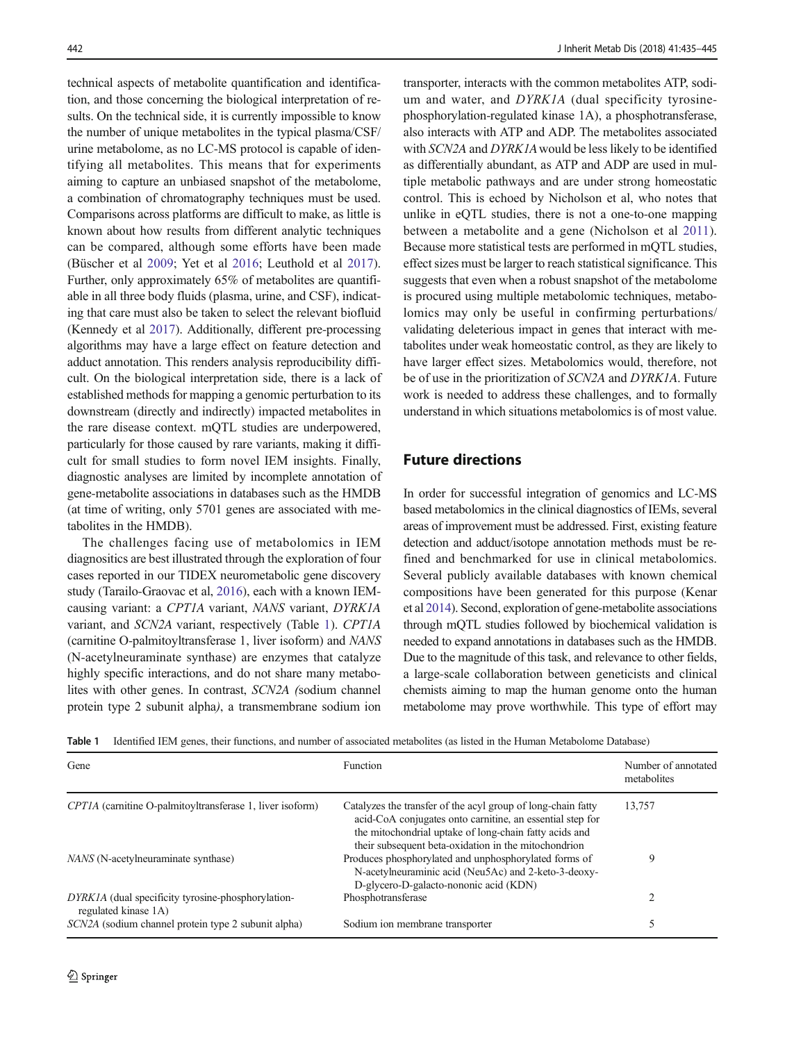technical aspects of metabolite quantification and identification, and those concerning the biological interpretation of results. On the technical side, it is currently impossible to know the number of unique metabolites in the typical plasma/CSF/ urine metabolome, as no LC-MS protocol is capable of identifying all metabolites. This means that for experiments aiming to capture an unbiased snapshot of the metabolome, a combination of chromatography techniques must be used. Comparisons across platforms are difficult to make, as little is known about how results from different analytic techniques can be compared, although some efforts have been made (Büscher et al [2009;](#page-8-0) Yet et al [2016](#page-10-0); Leuthold et al [2017](#page-9-0)). Further, only approximately 65% of metabolites are quantifiable in all three body fluids (plasma, urine, and CSF), indicating that care must also be taken to select the relevant biofluid (Kennedy et al [2017](#page-9-0)). Additionally, different pre-processing algorithms may have a large effect on feature detection and adduct annotation. This renders analysis reproducibility difficult. On the biological interpretation side, there is a lack of established methods for mapping a genomic perturbation to its downstream (directly and indirectly) impacted metabolites in the rare disease context. mQTL studies are underpowered, particularly for those caused by rare variants, making it difficult for small studies to form novel IEM insights. Finally, diagnostic analyses are limited by incomplete annotation of gene-metabolite associations in databases such as the HMDB (at time of writing, only 5701 genes are associated with metabolites in the HMDB).

The challenges facing use of metabolomics in IEM diagnositics are best illustrated through the exploration of four cases reported in our TIDEX neurometabolic gene discovery study (Tarailo-Graovac et al, [2016](#page-9-0)), each with a known IEMcausing variant: a CPT1A variant, NANS variant, DYRK1A variant, and SCN2A variant, respectively (Table 1). CPT1A (carnitine O-palmitoyltransferase 1, liver isoform) and NANS (N-acetylneuraminate synthase) are enzymes that catalyze highly specific interactions, and do not share many metabolites with other genes. In contrast, SCN2A (sodium channel protein type 2 subunit alpha), a transmembrane sodium ion

transporter, interacts with the common metabolites ATP, sodium and water, and DYRK1A (dual specificity tyrosinephosphorylation-regulated kinase 1A), a phosphotransferase, also interacts with ATP and ADP. The metabolites associated with SCN2A and DYRK1A would be less likely to be identified as differentially abundant, as ATP and ADP are used in multiple metabolic pathways and are under strong homeostatic control. This is echoed by Nicholson et al, who notes that unlike in eQTL studies, there is not a one-to-one mapping between a metabolite and a gene (Nicholson et al [2011](#page-9-0)). Because more statistical tests are performed in mQTL studies, effect sizes must be larger to reach statistical significance. This suggests that even when a robust snapshot of the metabolome is procured using multiple metabolomic techniques, metabolomics may only be useful in confirming perturbations/ validating deleterious impact in genes that interact with metabolites under weak homeostatic control, as they are likely to have larger effect sizes. Metabolomics would, therefore, not be of use in the prioritization of SCN2A and DYRK1A. Future work is needed to address these challenges, and to formally understand in which situations metabolomics is of most value.

# Future directions

In order for successful integration of genomics and LC-MS based metabolomics in the clinical diagnostics of IEMs, several areas of improvement must be addressed. First, existing feature detection and adduct/isotope annotation methods must be refined and benchmarked for use in clinical metabolomics. Several publicly available databases with known chemical compositions have been generated for this purpose (Kenar et al [2014](#page-9-0)). Second, exploration of gene-metabolite associations through mQTL studies followed by biochemical validation is needed to expand annotations in databases such as the HMDB. Due to the magnitude of this task, and relevance to other fields, a large-scale collaboration between geneticists and clinical chemists aiming to map the human genome onto the human metabolome may prove worthwhile. This type of effort may

Table 1 Identified IEM genes, their functions, and number of associated metabolites (as listed in the Human Metabolome Database)

| Gene                                                                       | Function                                                                                                                                                                                                                                    | Number of annotated<br>metabolites |
|----------------------------------------------------------------------------|---------------------------------------------------------------------------------------------------------------------------------------------------------------------------------------------------------------------------------------------|------------------------------------|
| CPTIA (carnitine O-palmitoyltransferase 1, liver isoform)                  | Catalyzes the transfer of the acyl group of long-chain fatty<br>acid-CoA conjugates onto carnitine, an essential step for<br>the mitochondrial uptake of long-chain fatty acids and<br>their subsequent beta-oxidation in the mitochondrion | 13,757                             |
| NANS (N-acetylneuraminate synthase)                                        | Produces phosphorylated and unphosphorylated forms of<br>N-acetylneuraminic acid (Neu5Ac) and 2-keto-3-deoxy-<br>D-glycero-D-galacto-nononic acid (KDN)                                                                                     |                                    |
| DYRK1A (dual specificity tyrosine-phosphorylation-<br>regulated kinase 1A) | Phosphotransferase                                                                                                                                                                                                                          |                                    |
| SCN2A (sodium channel protein type 2 subunit alpha)                        | Sodium ion membrane transporter                                                                                                                                                                                                             |                                    |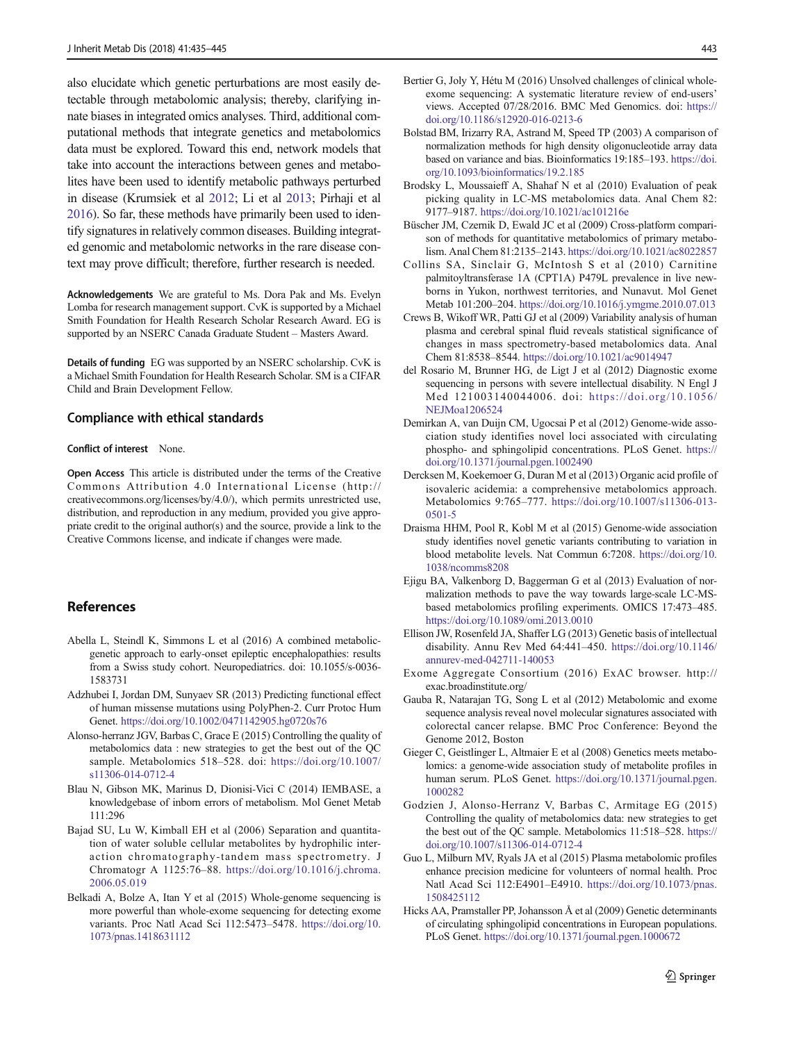<span id="page-8-0"></span>also elucidate which genetic perturbations are most easily detectable through metabolomic analysis; thereby, clarifying innate biases in integrated omics analyses. Third, additional computational methods that integrate genetics and metabolomics data must be explored. Toward this end, network models that take into account the interactions between genes and metabolites have been used to identify metabolic pathways perturbed in disease (Krumsiek et al [2012](#page-9-0); Li et al [2013;](#page-9-0) Pirhaji et al [2016](#page-9-0)). So far, these methods have primarily been used to identify signatures in relatively common diseases. Building integrated genomic and metabolomic networks in the rare disease context may prove difficult; therefore, further research is needed.

Acknowledgements We are grateful to Ms. Dora Pak and Ms. Evelyn Lomba for research management support. CvK is supported by a Michael Smith Foundation for Health Research Scholar Research Award. EG is supported by an NSERC Canada Graduate Student – Masters Award.

Details of funding EG was supported by an NSERC scholarship. CvK is a Michael Smith Foundation for Health Research Scholar. SM is a CIFAR Child and Brain Development Fellow.

#### Compliance with ethical standards

#### Conflict of interest None.

Open Access This article is distributed under the terms of the Creative Commons Attribution 4.0 International License (http:// creativecommons.org/licenses/by/4.0/), which permits unrestricted use, distribution, and reproduction in any medium, provided you give appropriate credit to the original author(s) and the source, provide a link to the Creative Commons license, and indicate if changes were made.

#### References

- Abella L, Steindl K, Simmons L et al (2016) A combined metabolicgenetic approach to early-onset epileptic encephalopathies: results from a Swiss study cohort. Neuropediatrics. doi: 10.1055/s-0036- 1583731
- Adzhubei I, Jordan DM, Sunyaev SR (2013) Predicting functional effect of human missense mutations using PolyPhen-2. Curr Protoc Hum Genet. <https://doi.org/10.1002/0471142905.hg0720s76>
- Alonso-herranz JGV, Barbas C, Grace E (2015) Controlling the quality of metabolomics data : new strategies to get the best out of the QC sample. Metabolomics 518–528. doi: [https://doi.org/10.1007/](https://doi.org/10.1007/s11306-014-0712-4) [s11306-014-0712-4](https://doi.org/10.1007/s11306-014-0712-4)
- Blau N, Gibson MK, Marinus D, Dionisi-Vici C (2014) IEMBASE, a knowledgebase of inborn errors of metabolism. Mol Genet Metab 111:296
- Bajad SU, Lu W, Kimball EH et al (2006) Separation and quantitation of water soluble cellular metabolites by hydrophilic interaction chromatography-tandem mass spectrometry. J Chromatogr A 1125:76–88. [https://doi.org/10.1016/j.chroma.](https://doi.org/10.1016/j.chroma.2006.05.019) [2006.05.019](https://doi.org/10.1016/j.chroma.2006.05.019)
- Belkadi A, Bolze A, Itan Y et al (2015) Whole-genome sequencing is more powerful than whole-exome sequencing for detecting exome variants. Proc Natl Acad Sci 112:5473–5478. [https://doi.org/10.](https://doi.org/10.1073/pnas.1418631112) [1073/pnas.1418631112](https://doi.org/10.1073/pnas.1418631112)
- Bertier G, Joly Y, Hétu M (2016) Unsolved challenges of clinical wholeexome sequencing: A systematic literature review of end-users' views. Accepted 07/28/2016. BMC Med Genomics. doi: [https://](https://doi.org/10.1186/s12920-016-0213-6) [doi.org/10.1186/s12920-016-0213-6](https://doi.org/10.1186/s12920-016-0213-6)
- Bolstad BM, Irizarry RA, Astrand M, Speed TP (2003) A comparison of normalization methods for high density oligonucleotide array data based on variance and bias. Bioinformatics 19:185–193. [https://doi.](https://doi.org/10.1093/bioinformatics/19.2.185) [org/10.1093/bioinformatics/19.2.185](https://doi.org/10.1093/bioinformatics/19.2.185)
- Brodsky L, Moussaieff A, Shahaf N et al (2010) Evaluation of peak picking quality in LC-MS metabolomics data. Anal Chem 82: 9177–9187. <https://doi.org/10.1021/ac101216e>
- Büscher JM, Czernik D, Ewald JC et al (2009) Cross-platform comparison of methods for quantitative metabolomics of primary metabolism. Anal Chem 81:2135–2143. <https://doi.org/10.1021/ac8022857>
- Collins SA, Sinclair G, McIntosh S et al (2010) Carnitine palmitoyltransferase 1A (CPT1A) P479L prevalence in live newborns in Yukon, northwest territories, and Nunavut. Mol Genet Metab 101:200–204. <https://doi.org/10.1016/j.ymgme.2010.07.013>
- Crews B, Wikoff WR, Patti GJ et al (2009) Variability analysis of human plasma and cerebral spinal fluid reveals statistical significance of changes in mass spectrometry-based metabolomics data. Anal Chem 81:8538–8544. <https://doi.org/10.1021/ac9014947>
- del Rosario M, Brunner HG, de Ligt J et al (2012) Diagnostic exome sequencing in persons with severe intellectual disability. N Engl J Med 121003140044006. doi: [https://doi.org/10.1056/](https://doi.org/10.1056/NEJMoa1206524) [NEJMoa1206524](https://doi.org/10.1056/NEJMoa1206524)
- Demirkan A, van Duijn CM, Ugocsai P et al (2012) Genome-wide association study identifies novel loci associated with circulating phospho- and sphingolipid concentrations. PLoS Genet. [https://](https://doi.org/10.1371/journal.pgen.1002490) [doi.org/10.1371/journal.pgen.1002490](https://doi.org/10.1371/journal.pgen.1002490)
- Dercksen M, Koekemoer G, Duran M et al (2013) Organic acid profile of isovaleric acidemia: a comprehensive metabolomics approach. Metabolomics 9:765–777. [https://doi.org/10.1007/s11306-013-](https://doi.org/10.1007/s11306-013-0501-5) [0501-5](https://doi.org/10.1007/s11306-013-0501-5)
- Draisma HHM, Pool R, Kobl M et al (2015) Genome-wide association study identifies novel genetic variants contributing to variation in blood metabolite levels. Nat Commun 6:7208. [https://doi.org/10.](https://doi.org/10.1038/ncomms8208) [1038/ncomms8208](https://doi.org/10.1038/ncomms8208)
- Ejigu BA, Valkenborg D, Baggerman G et al (2013) Evaluation of normalization methods to pave the way towards large-scale LC-MSbased metabolomics profiling experiments. OMICS 17:473–485. <https://doi.org/10.1089/omi.2013.0010>
- Ellison JW, Rosenfeld JA, Shaffer LG (2013) Genetic basis of intellectual disability. Annu Rev Med 64:441–450. [https://doi.org/10.1146/](https://doi.org/10.1146/annurev-med-042711-140053) [annurev-med-042711-140053](https://doi.org/10.1146/annurev-med-042711-140053)
- Exome Aggregate Consortium (2016) ExAC browser. http:// exac.broadinstitute.org/
- Gauba R, Natarajan TG, Song L et al (2012) Metabolomic and exome sequence analysis reveal novel molecular signatures associated with colorectal cancer relapse. BMC Proc Conference: Beyond the Genome 2012, Boston
- Gieger C, Geistlinger L, Altmaier E et al (2008) Genetics meets metabolomics: a genome-wide association study of metabolite profiles in human serum. PLoS Genet. [https://doi.org/10.1371/journal.pgen.](https://doi.org/10.1371/journal.pgen.1000282) [1000282](https://doi.org/10.1371/journal.pgen.1000282)
- Godzien J, Alonso-Herranz V, Barbas C, Armitage EG (2015) Controlling the quality of metabolomics data: new strategies to get the best out of the QC sample. Metabolomics 11:518–528. [https://](https://doi.org/10.1007/s11306-014-0712-4) [doi.org/10.1007/s11306-014-0712-4](https://doi.org/10.1007/s11306-014-0712-4)
- Guo L, Milburn MV, Ryals JA et al (2015) Plasma metabolomic profiles enhance precision medicine for volunteers of normal health. Proc Natl Acad Sci 112:E4901–E4910. [https://doi.org/10.1073/pnas.](https://doi.org/10.1073/pnas.1508425112) [1508425112](https://doi.org/10.1073/pnas.1508425112)
- Hicks AA, Pramstaller PP, Johansson Å et al (2009) Genetic determinants of circulating sphingolipid concentrations in European populations. PLoS Genet. <https://doi.org/10.1371/journal.pgen.1000672>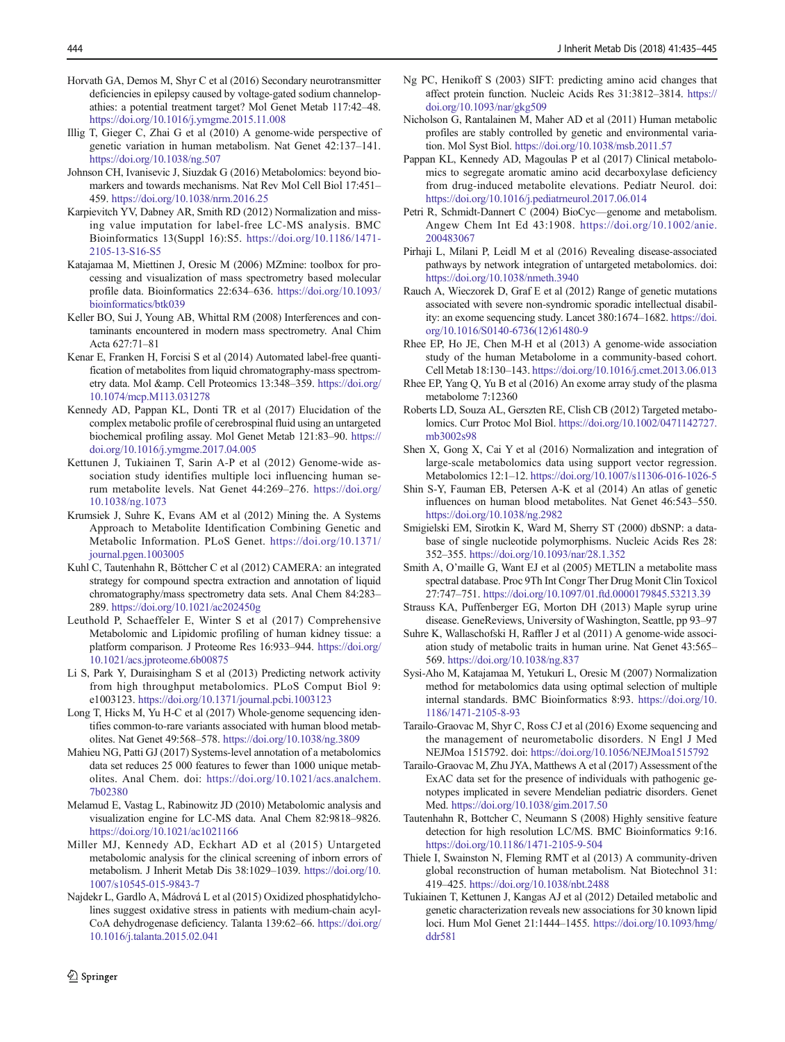- <span id="page-9-0"></span>Horvath GA, Demos M, Shyr C et al (2016) Secondary neurotransmitter deficiencies in epilepsy caused by voltage-gated sodium channelopathies: a potential treatment target? Mol Genet Metab 117:42–48. <https://doi.org/10.1016/j.ymgme.2015.11.008>
- Illig T, Gieger C, Zhai G et al (2010) A genome-wide perspective of genetic variation in human metabolism. Nat Genet 42:137–141. <https://doi.org/10.1038/ng.507>
- Johnson CH, Ivanisevic J, Siuzdak G (2016) Metabolomics: beyond biomarkers and towards mechanisms. Nat Rev Mol Cell Biol 17:451– 459. <https://doi.org/10.1038/nrm.2016.25>
- Karpievitch YV, Dabney AR, Smith RD (2012) Normalization and missing value imputation for label-free LC-MS analysis. BMC Bioinformatics 13(Suppl 16):S5. [https://doi.org/10.1186/1471-](https://doi.org/10.1186/1471-2105-13-S16-S5) [2105-13-S16-S5](https://doi.org/10.1186/1471-2105-13-S16-S5)
- Katajamaa M, Miettinen J, Oresic M (2006) MZmine: toolbox for processing and visualization of mass spectrometry based molecular profile data. Bioinformatics 22:634–636. [https://doi.org/10.1093/](https://doi.org/10.1093/bioinformatics/btk039) [bioinformatics/btk039](https://doi.org/10.1093/bioinformatics/btk039)
- Keller BO, Sui J, Young AB, Whittal RM (2008) Interferences and contaminants encountered in modern mass spectrometry. Anal Chim Acta 627:71–81
- Kenar E, Franken H, Forcisi S et al (2014) Automated label-free quantification of metabolites from liquid chromatography-mass spectrometry data. Mol &amp. Cell Proteomics 13:348-359. [https://doi.org/](https://doi.org/10.1074/mcp.M113.031278) [10.1074/mcp.M113.031278](https://doi.org/10.1074/mcp.M113.031278)
- Kennedy AD, Pappan KL, Donti TR et al (2017) Elucidation of the complex metabolic profile of cerebrospinal fluid using an untargeted biochemical profiling assay. Mol Genet Metab 121:83–90. [https://](https://doi.org/10.1016/j.ymgme.2017.04.005) [doi.org/10.1016/j.ymgme.2017.04.005](https://doi.org/10.1016/j.ymgme.2017.04.005)
- Kettunen J, Tukiainen T, Sarin A-P et al (2012) Genome-wide association study identifies multiple loci influencing human serum metabolite levels. Nat Genet 44:269–276. [https://doi.org/](https://doi.org/10.1038/ng.1073) [10.1038/ng.1073](https://doi.org/10.1038/ng.1073)
- Krumsiek J, Suhre K, Evans AM et al (2012) Mining the. A Systems Approach to Metabolite Identification Combining Genetic and Metabolic Information. PLoS Genet. [https://doi.org/10.1371/](https://doi.org/10.1371/journal.pgen.1003005) [journal.pgen.1003005](https://doi.org/10.1371/journal.pgen.1003005)
- Kuhl C, Tautenhahn R, Böttcher C et al (2012) CAMERA: an integrated strategy for compound spectra extraction and annotation of liquid chromatography/mass spectrometry data sets. Anal Chem 84:283– 289. <https://doi.org/10.1021/ac202450g>
- Leuthold P, Schaeffeler E, Winter S et al (2017) Comprehensive Metabolomic and Lipidomic profiling of human kidney tissue: a platform comparison. J Proteome Res 16:933–944. [https://doi.org/](https://doi.org/10.1021/acs.jproteome.6b00875) [10.1021/acs.jproteome.6b00875](https://doi.org/10.1021/acs.jproteome.6b00875)
- Li S, Park Y, Duraisingham S et al (2013) Predicting network activity from high throughput metabolomics. PLoS Comput Biol 9: e1003123. <https://doi.org/10.1371/journal.pcbi.1003123>
- Long T, Hicks M, Yu H-C et al (2017) Whole-genome sequencing identifies common-to-rare variants associated with human blood metabolites. Nat Genet 49:568–578. <https://doi.org/10.1038/ng.3809>
- Mahieu NG, Patti GJ (2017) Systems-level annotation of a metabolomics data set reduces 25 000 features to fewer than 1000 unique metabolites. Anal Chem. doi: [https://doi.org/10.1021/acs.analchem.](https://doi.org/10.1021/acs.analchem.7b02380) [7b02380](https://doi.org/10.1021/acs.analchem.7b02380)
- Melamud E, Vastag L, Rabinowitz JD (2010) Metabolomic analysis and visualization engine for LC-MS data. Anal Chem 82:9818–9826. <https://doi.org/10.1021/ac1021166>
- Miller MJ, Kennedy AD, Eckhart AD et al (2015) Untargeted metabolomic analysis for the clinical screening of inborn errors of metabolism. J Inherit Metab Dis 38:1029–1039. [https://doi.org/10.](https://doi.org/10.1007/s10545-015-9843-7) [1007/s10545-015-9843-7](https://doi.org/10.1007/s10545-015-9843-7)
- Najdekr L, Gardlo A, Mádrová L et al (2015) Oxidized phosphatidylcholines suggest oxidative stress in patients with medium-chain acyl-CoA dehydrogenase deficiency. Talanta 139:62–66. [https://doi.org/](https://doi.org/10.1016/j.talanta.2015.02.041) [10.1016/j.talanta.2015.02.041](https://doi.org/10.1016/j.talanta.2015.02.041)
- Ng PC, Henikoff S (2003) SIFT: predicting amino acid changes that affect protein function. Nucleic Acids Res 31:3812–3814. [https://](https://doi.org/10.1093/nar/gkg509) [doi.org/10.1093/nar/gkg509](https://doi.org/10.1093/nar/gkg509)
- Nicholson G, Rantalainen M, Maher AD et al (2011) Human metabolic profiles are stably controlled by genetic and environmental variation. Mol Syst Biol. <https://doi.org/10.1038/msb.2011.57>
- Pappan KL, Kennedy AD, Magoulas P et al (2017) Clinical metabolomics to segregate aromatic amino acid decarboxylase deficiency from drug-induced metabolite elevations. Pediatr Neurol. doi: <https://doi.org/10.1016/j.pediatrneurol.2017.06.014>
- Petri R, Schmidt-Dannert C (2004) BioCyc—genome and metabolism. Angew Chem Int Ed 43:1908. [https://doi.org/10.1002/anie.](https://doi.org/10.1002/anie.200483067) [200483067](https://doi.org/10.1002/anie.200483067)
- Pirhaji L, Milani P, Leidl M et al (2016) Revealing disease-associated pathways by network integration of untargeted metabolomics. doi: <https://doi.org/10.1038/nmeth.3940>
- Rauch A, Wieczorek D, Graf E et al (2012) Range of genetic mutations associated with severe non-syndromic sporadic intellectual disability: an exome sequencing study. Lancet 380:1674–1682. [https://doi.](https://doi.org/10.1016/S0140-6736(12)61480-9) [org/10.1016/S0140-6736\(12\)61480-9](https://doi.org/10.1016/S0140-6736(12)61480-9)
- Rhee EP, Ho JE, Chen M-H et al (2013) A genome-wide association study of the human Metabolome in a community-based cohort. Cell Metab 18:130–143. <https://doi.org/10.1016/j.cmet.2013.06.013>
- Rhee EP, Yang Q, Yu B et al (2016) An exome array study of the plasma metabolome 7:12360
- Roberts LD, Souza AL, Gerszten RE, Clish CB (2012) Targeted metabolomics. Curr Protoc Mol Biol. [https://doi.org/10.1002/0471142727.](https://doi.org/10.1002/0471142727.mb3002s98) [mb3002s98](https://doi.org/10.1002/0471142727.mb3002s98)
- Shen X, Gong X, Cai Y et al (2016) Normalization and integration of large-scale metabolomics data using support vector regression. Metabolomics 12:1–12. <https://doi.org/10.1007/s11306-016-1026-5>
- Shin S-Y, Fauman EB, Petersen A-K et al (2014) An atlas of genetic influences on human blood metabolites. Nat Genet 46:543–550. <https://doi.org/10.1038/ng.2982>
- Smigielski EM, Sirotkin K, Ward M, Sherry ST (2000) dbSNP: a database of single nucleotide polymorphisms. Nucleic Acids Res 28: 352–355. <https://doi.org/10.1093/nar/28.1.352>
- Smith A, O'maille G, Want EJ et al (2005) METLIN a metabolite mass spectral database. Proc 9Th Int Congr Ther Drug Monit Clin Toxicol 27:747–751. <https://doi.org/10.1097/01.ftd.0000179845.53213.39>
- Strauss KA, Puffenberger EG, Morton DH (2013) Maple syrup urine disease. GeneReviews, University of Washington, Seattle, pp 93–97
- Suhre K, Wallaschofski H, Raffler J et al (2011) A genome-wide association study of metabolic traits in human urine. Nat Genet 43:565– 569. <https://doi.org/10.1038/ng.837>
- Sysi-Aho M, Katajamaa M, Yetukuri L, Oresic M (2007) Normalization method for metabolomics data using optimal selection of multiple internal standards. BMC Bioinformatics 8:93. [https://doi.org/10.](https://doi.org/10.1186/1471-2105-8-93) [1186/1471-2105-8-93](https://doi.org/10.1186/1471-2105-8-93)
- Tarailo-Graovac M, Shyr C, Ross CJ et al (2016) Exome sequencing and the management of neurometabolic disorders. N Engl J Med NEJMoa 1515792. doi: <https://doi.org/10.1056/NEJMoa1515792>
- Tarailo-Graovac M, Zhu JYA, Matthews A et al (2017) Assessment of the ExAC data set for the presence of individuals with pathogenic genotypes implicated in severe Mendelian pediatric disorders. Genet Med. <https://doi.org/10.1038/gim.2017.50>
- Tautenhahn R, Bottcher C, Neumann S (2008) Highly sensitive feature detection for high resolution LC/MS. BMC Bioinformatics 9:16. <https://doi.org/10.1186/1471-2105-9-504>
- Thiele I, Swainston N, Fleming RMT et al (2013) A community-driven global reconstruction of human metabolism. Nat Biotechnol 31: 419–425. <https://doi.org/10.1038/nbt.2488>
- Tukiainen T, Kettunen J, Kangas AJ et al (2012) Detailed metabolic and genetic characterization reveals new associations for 30 known lipid loci. Hum Mol Genet 21:1444–1455. [https://doi.org/10.1093/hmg/](https://doi.org/10.1093/hmg/ddr581) [ddr581](https://doi.org/10.1093/hmg/ddr581)